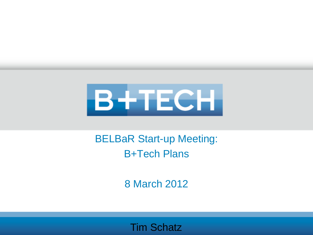

BELBaR Start-up Meeting: B+Tech Plans

8 March 2012

Tim Schatz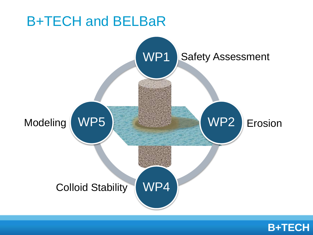

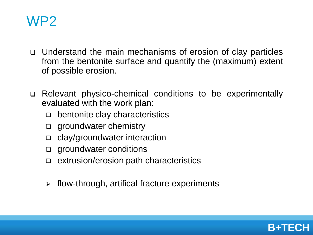

- Understand the main mechanisms of erosion of clay particles from the bentonite surface and quantify the (maximum) extent of possible erosion.
- Relevant physico-chemical conditions to be experimentally evaluated with the work plan:
	- bentonite clay characteristics
	- **q** groundwater chemistry
	- □ clay/groundwater interaction
	- **q** groundwater conditions
	- extrusion/erosion path characteristics
	- $\triangleright$  flow-through, artifical fracture experiments

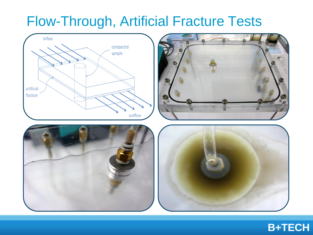## Flow-Through, Artificial Fracture Tests









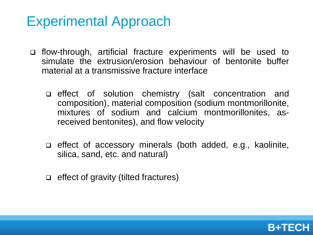#### Experimental Approach

- flow-through, artificial fracture experiments will be used to simulate the extrusion/erosion behaviour of bentonite buffer material at a transmissive fracture interface
	- effect of solution chemistry (salt concentration and composition), material composition (sodium montmorillonite, mixtures of sodium and calcium montmorillonites, asreceived bentonites), and flow velocity
	- effect of accessory minerals (both added, e.g., kaolinite, silica, sand, etc. and natural)
	- $\Box$  effect of gravity (tilted fractures)

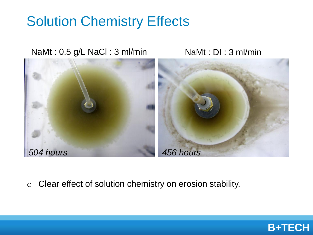# Solution Chemistry Effects

NaMt: 0.5 g/L NaCl: 3 ml/min NaMt: DI: 3 ml/min



o Clear effect of solution chemistry on erosion stability.

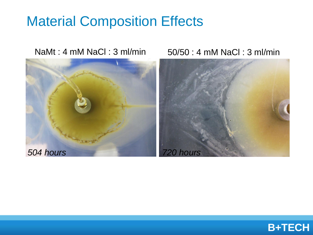### Material Composition Effects



NaMt : 4 mM NaCl : 3 ml/min 50/50 : 4 mM NaCl : 3 ml/min



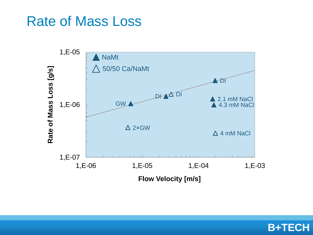#### Rate of Mass Loss



**B+TECH**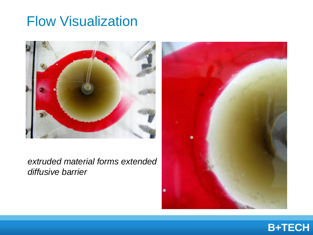## Flow Visualization



*extruded material forms extended diffusive barrier*



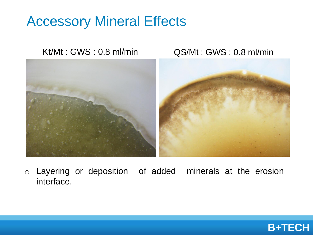## Accessory Mineral Effects

Kt/Mt : GWS : 0.8 ml/min QS/Mt : GWS : 0.8 ml/min



o Layering or deposition of added minerals at the erosion interface.

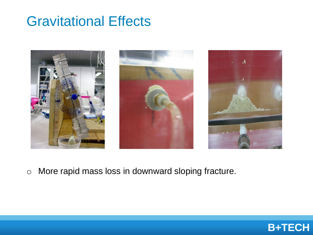## Gravitational Effects



o More rapid mass loss in downward sloping fracture.

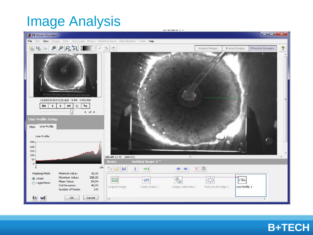# Image Analysis



#### **B+TECH**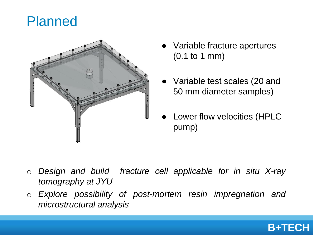#### Planned



- Variable fracture apertures (0.1 to 1 mm)
- Variable test scales (20 and 50 mm diameter samples)
- **Lower flow velocities (HPLC** pump)

- o *Design and build fracture cell applicable for in situ X-ray tomography at JYU*
- o *Explore possibility of post-mortem resin impregnation and microstructural analysis*